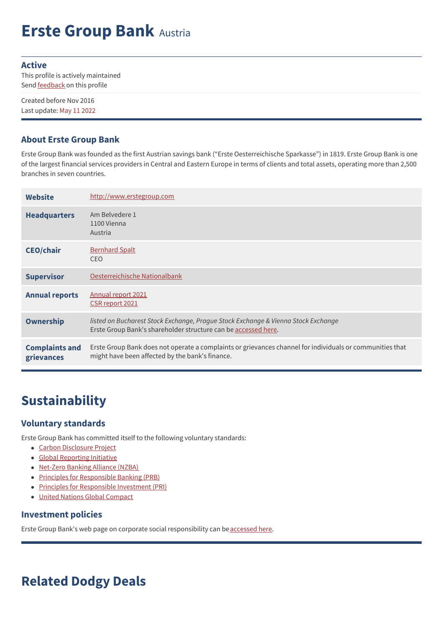# **Erste Group Bank** Austria

#### **Active**

This profile is actively maintained Send **[feedback](https://www.banktrack.org/feedback/bankprofile/erste_group)** on this profile

Created before Nov 2016 Last update: May 11 2022

### **About Erste Group Bank**

Erste Group Bank was founded as the first Austrian savings bank ("Erste Oesterreichische Sparkasse") in 1819. Erste Group Bank is one of the largest financial services providers in Central and Eastern Europe in terms of clients and total assets, operating more than 2,500 branches in seven countries.

| <b>Website</b>                      | http://www.erstegroup.com                                                                                                                                   |
|-------------------------------------|-------------------------------------------------------------------------------------------------------------------------------------------------------------|
| <b>Headquarters</b>                 | Am Belvedere 1<br>1100 Vienna<br>Austria                                                                                                                    |
| <b>CEO/chair</b>                    | <b>Bernhard Spalt</b><br><b>CEO</b>                                                                                                                         |
| <b>Supervisor</b>                   | Oesterreichische Nationalbank                                                                                                                               |
| <b>Annual reports</b>               | Annual report 2021<br>CSR report 2021                                                                                                                       |
| <b>Ownership</b>                    | listed on Bucharest Stock Exchange, Prague Stock Exchange & Vienna Stock Exchange<br>Erste Group Bank's shareholder structure can be accessed here.         |
| <b>Complaints and</b><br>grievances | Erste Group Bank does not operate a complaints or grievances channel for individuals or communities that<br>might have been affected by the bank's finance. |

# **Sustainability**

## **Voluntary standards**

Erste Group Bank has committed itself to the following voluntary standards:

- Carbon [Disclosure](https://www.cdp.net/en-US/Pages/HomePage.aspx) Project
- Global [Reporting](http://www.globalreporting.org) Initiative
- [Net-Zero](https://www.unepfi.org/net-zero-banking/) Banking Alliance (NZBA)
- Principles for [Responsible](http://www.unepfi.org/banking/bankingprinciples/) Banking (PRB)
- Principles for [Responsible](http://www.unpri.org/) Investment (PRI)
- United Nations Global [Compact](http://www.unglobalcompact.org/)

#### **Investment policies**

Erste Group Bank's web page on corporate social responsibility can be [accessed](http://www.erstegroup.com/en/About-us/Environment) here.

# **Related Dodgy Deals**